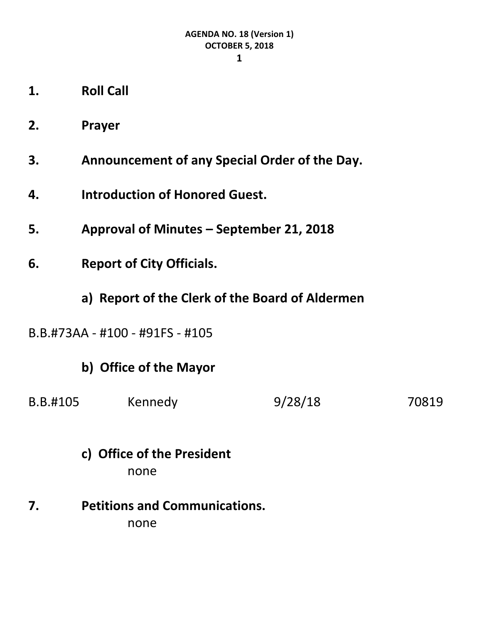**1**

- **1. Roll Call**
- **2. Prayer**
- **3. Announcement of any Special Order of the Day.**
- **4. Introduction of Honored Guest.**
- **5. Approval of Minutes – September 21, 2018**
- **6. Report of City Officials.**
	- **a) Report of the Clerk of the Board of Aldermen**
- B.B.#73AA #100 #91FS #105

## **b) Office of the Mayor**

- B.B.#105 Kennedy 9/28/18 70819
	- **c) Office of the President** none
- **7. Petitions and Communications.** none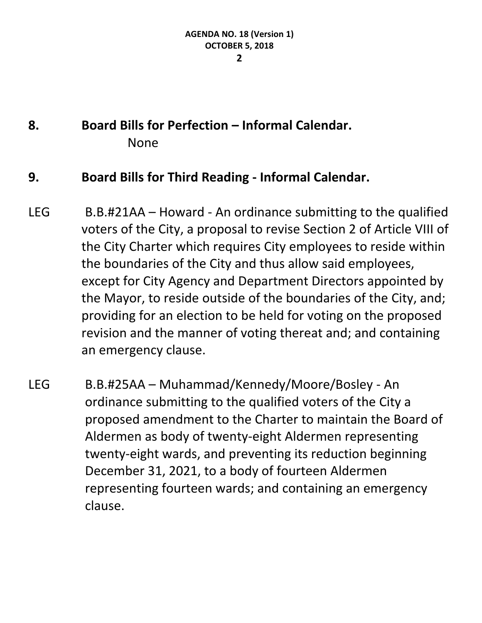#### **2**

# **8. Board Bills for Perfection – Informal Calendar.** None

### **9. Board Bills for Third Reading - Informal Calendar.**

- LEG B.B.#21AA Howard An ordinance submitting to the qualified voters of the City, a proposal to revise Section 2 of Article VIII of the City Charter which requires City employees to reside within the boundaries of the City and thus allow said employees, except for City Agency and Department Directors appointed by the Mayor, to reside outside of the boundaries of the City, and; providing for an election to be held for voting on the proposed revision and the manner of voting thereat and; and containing an emergency clause.
- LEG B.B.#25AA Muhammad/Kennedy/Moore/Bosley An ordinance submitting to the qualified voters of the City a proposed amendment to the Charter to maintain the Board of Aldermen as body of twenty-eight Aldermen representing twenty-eight wards, and preventing its reduction beginning December 31, 2021, to a body of fourteen Aldermen representing fourteen wards; and containing an emergency clause.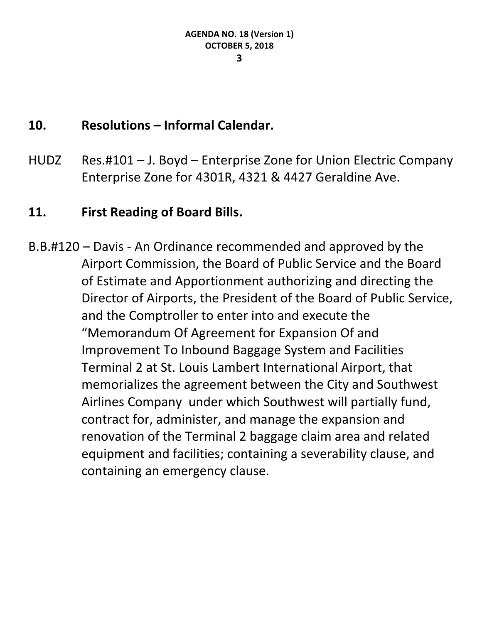### **10. Resolutions – Informal Calendar.**

HUDZ Res.#101 – J. Boyd – Enterprise Zone for Union Electric Company Enterprise Zone for 4301R, 4321 & 4427 Geraldine Ave.

### **11. First Reading of Board Bills.**

B.B.#120 – Davis - An Ordinance recommended and approved by the Airport Commission, the Board of Public Service and the Board of Estimate and Apportionment authorizing and directing the Director of Airports, the President of the Board of Public Service, and the Comptroller to enter into and execute the "Memorandum Of Agreement for Expansion Of and Improvement To Inbound Baggage System and Facilities Terminal 2 at St. Louis Lambert International Airport, that memorializes the agreement between the City and Southwest Airlines Company under which Southwest will partially fund, contract for, administer, and manage the expansion and renovation of the Terminal 2 baggage claim area and related equipment and facilities; containing a severability clause, and containing an emergency clause.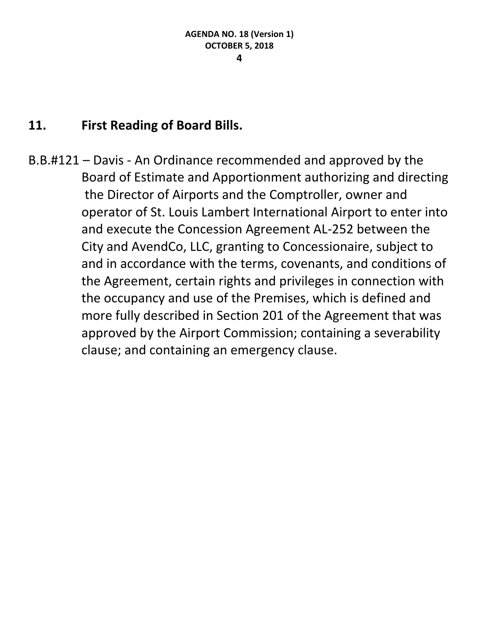### **11. First Reading of Board Bills.**

B.B.#121 – Davis - An Ordinance recommended and approved by the Board of Estimate and Apportionment authorizing and directing the Director of Airports and the Comptroller, owner and operator of St. Louis Lambert International Airport to enter into and execute the Concession Agreement AL-252 between the City and AvendCo, LLC, granting to Concessionaire, subject to and in accordance with the terms, covenants, and conditions of the Agreement, certain rights and privileges in connection with the occupancy and use of the Premises, which is defined and more fully described in Section 201 of the Agreement that was approved by the Airport Commission; containing a severability clause; and containing an emergency clause.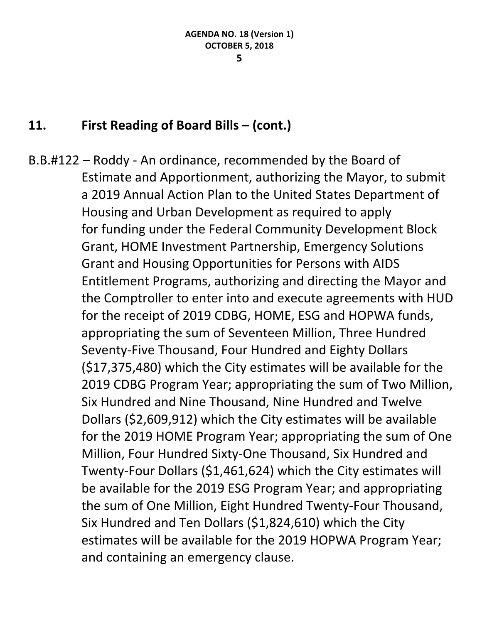### **11. First Reading of Board Bills – (cont.)**

B.B.#122 – Roddy - An ordinance, recommended by the Board of Estimate and Apportionment, authorizing the Mayor, to submit a 2019 Annual Action Plan to the United States Department of Housing and Urban Development as required to apply for funding under the Federal Community Development Block Grant, HOME Investment Partnership, Emergency Solutions Grant and Housing Opportunities for Persons with AIDS Entitlement Programs, authorizing and directing the Mayor and the Comptroller to enter into and execute agreements with HUD for the receipt of 2019 CDBG, HOME, ESG and HOPWA funds, appropriating the sum of Seventeen Million, Three Hundred Seventy-Five Thousand, Four Hundred and Eighty Dollars (\$17,375,480) which the City estimates will be available for the 2019 CDBG Program Year; appropriating the sum of Two Million, Six Hundred and Nine Thousand, Nine Hundred and Twelve Dollars (\$2,609,912) which the City estimates will be available for the 2019 HOME Program Year; appropriating the sum of One Million, Four Hundred Sixty-One Thousand, Six Hundred and Twenty-Four Dollars (\$1,461,624) which the City estimates will be available for the 2019 ESG Program Year; and appropriating the sum of One Million, Eight Hundred Twenty-Four Thousand, Six Hundred and Ten Dollars (\$1,824,610) which the City estimates will be available for the 2019 HOPWA Program Year; and containing an emergency clause.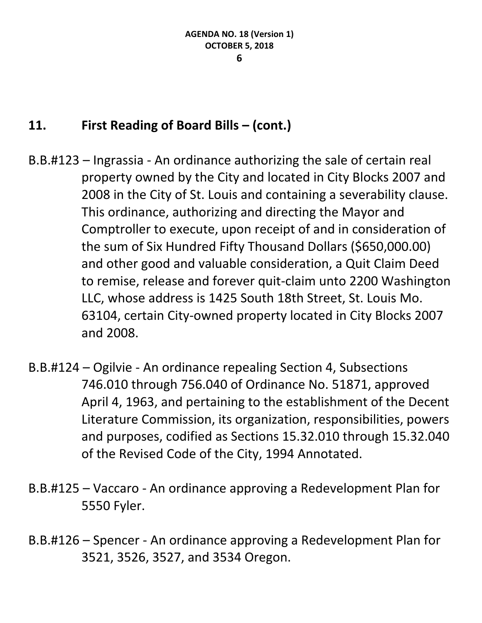## **11. First Reading of Board Bills – (cont.)**

- B.B.#123 Ingrassia An ordinance authorizing the sale of certain real property owned by the City and located in City Blocks 2007 and 2008 in the City of St. Louis and containing a severability clause. This ordinance, authorizing and directing the Mayor and Comptroller to execute, upon receipt of and in consideration of the sum of Six Hundred Fifty Thousand Dollars (\$650,000.00) and other good and valuable consideration, a Quit Claim Deed to remise, release and forever quit-claim unto 2200 Washington LLC, whose address is 1425 South 18th Street, St. Louis Mo. 63104, certain City-owned property located in City Blocks 2007 and 2008.
- B.B.#124 Ogilvie An ordinance repealing Section 4, Subsections 746.010 through 756.040 of Ordinance No. 51871, approved April 4, 1963, and pertaining to the establishment of the Decent Literature Commission, its organization, responsibilities, powers and purposes, codified as Sections 15.32.010 through 15.32.040 of the Revised Code of the City, 1994 Annotated.
- B.B.#125 Vaccaro An ordinance approving a Redevelopment Plan for 5550 Fyler.
- B.B.#126 Spencer An ordinance approving a Redevelopment Plan for 3521, 3526, 3527, and 3534 Oregon.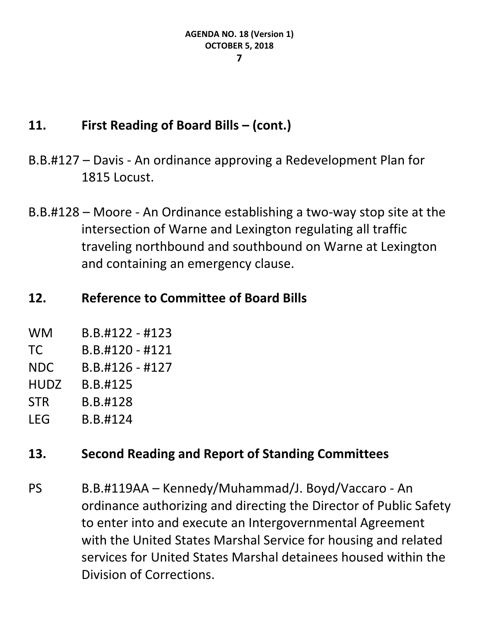## **11. First Reading of Board Bills – (cont.)**

- B.B.#127 Davis An ordinance approving a Redevelopment Plan for 1815 Locust.
- B.B.#128 Moore An Ordinance establishing a two-way stop site at the intersection of Warne and Lexington regulating all traffic traveling northbound and southbound on Warne at Lexington and containing an emergency clause.

## **12. Reference to Committee of Board Bills**

- WM B.B.#122 #123
- TC B.B.#120 #121
- NDC B.B.#126 #127
- HUDZ B.B.#125
- STR B.B.#128
- LEG B.B.#124

## **13. Second Reading and Report of Standing Committees**

PS B.B.#119AA – Kennedy/Muhammad/J. Boyd/Vaccaro - An ordinance authorizing and directing the Director of Public Safety to enter into and execute an Intergovernmental Agreement with the United States Marshal Service for housing and related services for United States Marshal detainees housed within the Division of Corrections.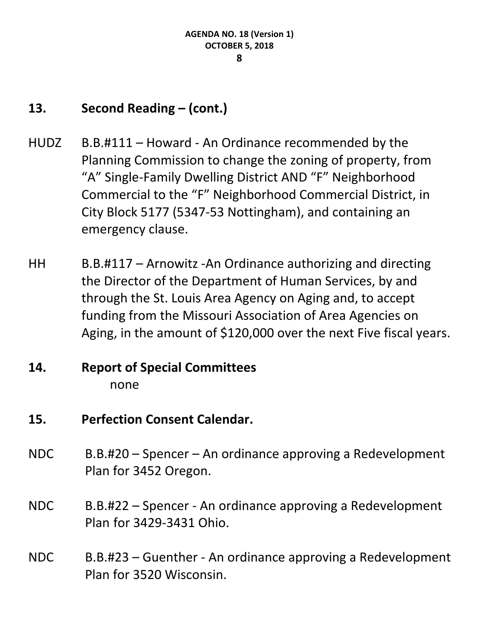## **13. Second Reading – (cont.)**

- HUDZ B.B.#111 Howard An Ordinance recommended by the Planning Commission to change the zoning of property, from "A" Single-Family Dwelling District AND "F" Neighborhood Commercial to the "F" Neighborhood Commercial District, in City Block 5177 (5347-53 Nottingham), and containing an emergency clause.
- HH B.B.#117 Arnowitz -An Ordinance authorizing and directing the Director of the Department of Human Services, by and through the St. Louis Area Agency on Aging and, to accept funding from the Missouri Association of Area Agencies on Aging, in the amount of \$120,000 over the next Five fiscal years.

## **14. Report of Special Committees** none

## **15. Perfection Consent Calendar.**

- NDC B.B.#20 Spencer An ordinance approving a Redevelopment Plan for 3452 Oregon.
- NDC B.B.#22 Spencer An ordinance approving a Redevelopment Plan for 3429-3431 Ohio.
- NDC B.B.#23 Guenther An ordinance approving a Redevelopment Plan for 3520 Wisconsin.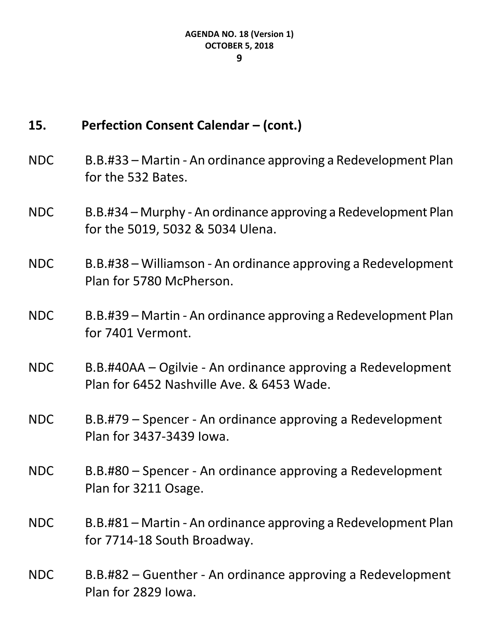#### **9**

## **15. Perfection Consent Calendar – (cont.)**

- NDC B.B.#33 Martin An ordinance approving a Redevelopment Plan for the 532 Bates.
- NDC B.B.#34 Murphy An ordinance approving a Redevelopment Plan for the 5019, 5032 & 5034 Ulena.
- NDC B.B.#38 Williamson An ordinance approving a Redevelopment Plan for 5780 McPherson.
- NDC B.B.#39 Martin An ordinance approving a Redevelopment Plan for 7401 Vermont.
- NDC B.B.#40AA Ogilvie An ordinance approving a Redevelopment Plan for 6452 Nashville Ave. & 6453 Wade.
- NDC B.B.#79 Spencer An ordinance approving a Redevelopment Plan for 3437-3439 Iowa.
- NDC B.B.#80 Spencer An ordinance approving a Redevelopment Plan for 3211 Osage.
- NDC B.B.#81 Martin An ordinance approving a Redevelopment Plan for 7714-18 South Broadway.
- NDC B.B.#82 Guenther An ordinance approving a Redevelopment Plan for 2829 Iowa.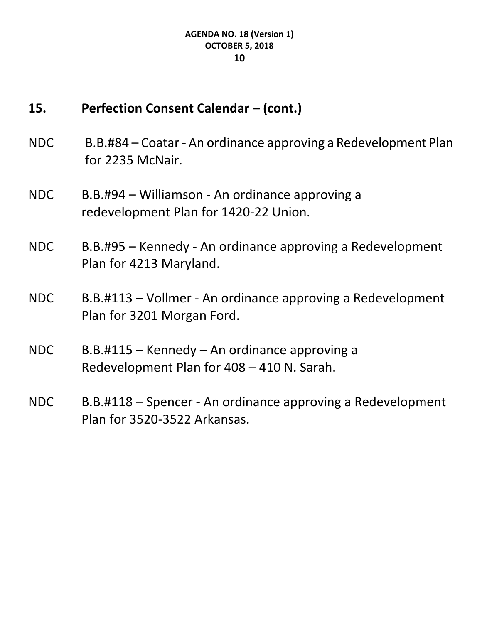### **15. Perfection Consent Calendar – (cont.)**

- NDC B.B.#84 Coatar An ordinance approving a Redevelopment Plan for 2235 McNair.
- NDC B.B.#94 Williamson An ordinance approving a redevelopment Plan for 1420-22 Union.
- NDC B.B.#95 Kennedy An ordinance approving a Redevelopment Plan for 4213 Maryland.
- NDC B.B.#113 Vollmer An ordinance approving a Redevelopment Plan for 3201 Morgan Ford.
- NDC B.B.#115 Kennedy An ordinance approving a Redevelopment Plan for 408 – 410 N. Sarah.
- NDC B.B.#118 Spencer An ordinance approving a Redevelopment Plan for 3520-3522 Arkansas.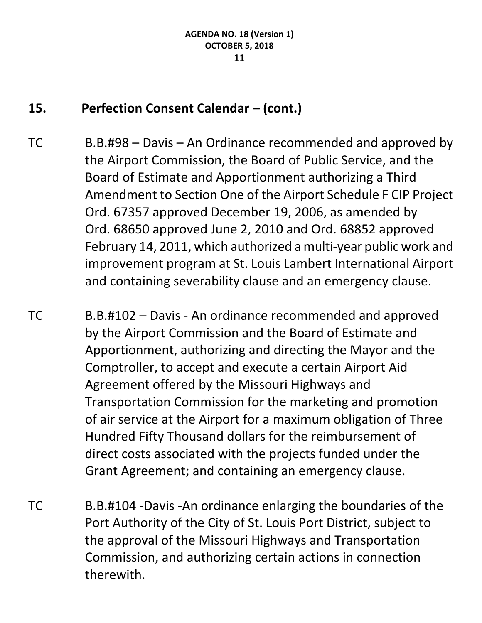## **15. Perfection Consent Calendar – (cont.)**

- TC B.B.#98 Davis An Ordinance recommended and approved by the Airport Commission, the Board of Public Service, and the Board of Estimate and Apportionment authorizing a Third Amendment to Section One of the Airport Schedule F CIP Project Ord. 67357 approved December 19, 2006, as amended by Ord. 68650 approved June 2, 2010 and Ord. 68852 approved February 14, 2011, which authorized a multi-year public work and improvement program at St. Louis Lambert International Airport and containing severability clause and an emergency clause.
- TC B.B.#102 Davis An ordinance recommended and approved by the Airport Commission and the Board of Estimate and Apportionment, authorizing and directing the Mayor and the Comptroller, to accept and execute a certain Airport Aid Agreement offered by the Missouri Highways and Transportation Commission for the marketing and promotion of air service at the Airport for a maximum obligation of Three Hundred Fifty Thousand dollars for the reimbursement of direct costs associated with the projects funded under the Grant Agreement; and containing an emergency clause.
- TC B.B.#104 -Davis -An ordinance enlarging the boundaries of the Port Authority of the City of St. Louis Port District, subject to the approval of the Missouri Highways and Transportation Commission, and authorizing certain actions in connection therewith.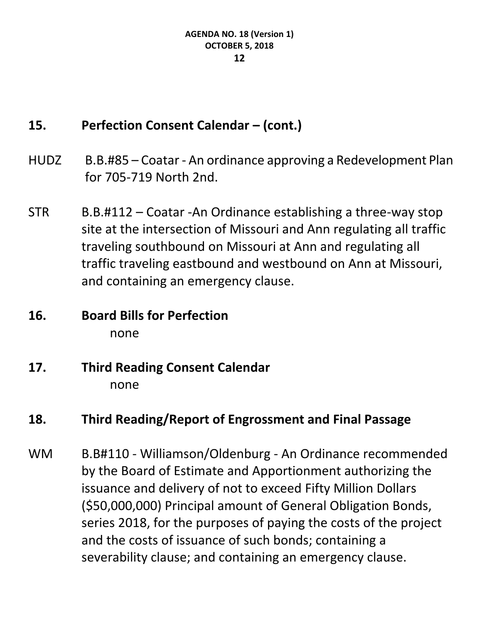## **15. Perfection Consent Calendar – (cont.)**

- HUDZ B.B.#85 Coatar An ordinance approving a Redevelopment Plan for 705-719 North 2nd.
- STR B.B.#112 Coatar -An Ordinance establishing a three-way stop site at the intersection of Missouri and Ann regulating all traffic traveling southbound on Missouri at Ann and regulating all traffic traveling eastbound and westbound on Ann at Missouri, and containing an emergency clause.
- **16. Board Bills for Perfection** none
- **17. Third Reading Consent Calendar** none

## **18. Third Reading/Report of Engrossment and Final Passage**

WM B.B#110 - Williamson/Oldenburg - An Ordinance recommended by the Board of Estimate and Apportionment authorizing the issuance and delivery of not to exceed Fifty Million Dollars (\$50,000,000) Principal amount of General Obligation Bonds, series 2018, for the purposes of paying the costs of the project and the costs of issuance of such bonds; containing a severability clause; and containing an emergency clause.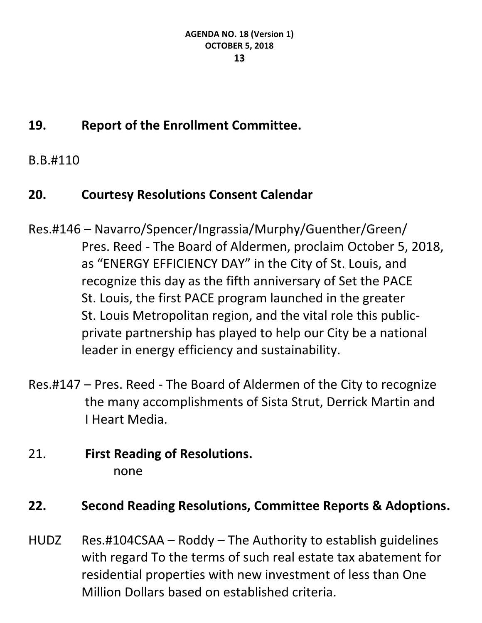# **19. Report of the Enrollment Committee.**

B.B.#110

## **20. Courtesy Resolutions Consent Calendar**

- Res.#146 Navarro/Spencer/Ingrassia/Murphy/Guenther/Green/ Pres. Reed - The Board of Aldermen, proclaim October 5, 2018, as "ENERGY EFFICIENCY DAY" in the City of St. Louis, and recognize this day as the fifth anniversary of Set the PACE St. Louis, the first PACE program launched in the greater St. Louis Metropolitan region, and the vital role this publicprivate partnership has played to help our City be a national leader in energy efficiency and sustainability.
- Res.#147 Pres. Reed The Board of Aldermen of the City to recognize the many accomplishments of Sista Strut, Derrick Martin and I Heart Media.

## 21. **First Reading of Resolutions.** none

## **22. Second Reading Resolutions, Committee Reports & Adoptions.**

HUDZ Res.#104CSAA – Roddy – The Authority to establish guidelines with regard To the terms of such real estate tax abatement for residential properties with new investment of less than One Million Dollars based on established criteria.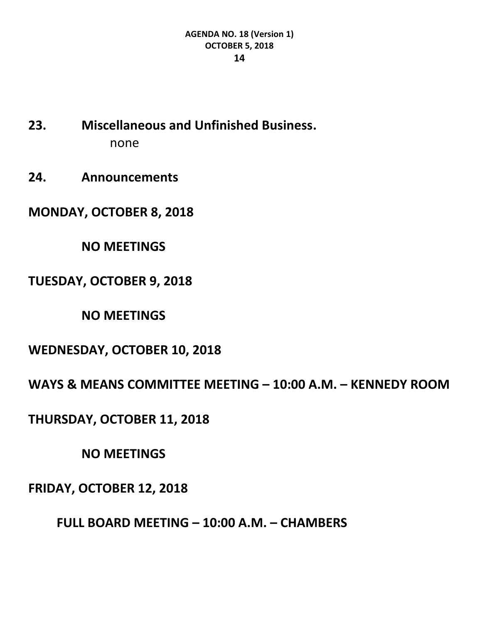- **23. Miscellaneous and Unfinished Business.** none
- **24. Announcements**
- **MONDAY, OCTOBER 8, 2018**
	- **NO MEETINGS**
- **TUESDAY, OCTOBER 9, 2018**

**NO MEETINGS**

**WEDNESDAY, OCTOBER 10, 2018**

**WAYS & MEANS COMMITTEE MEETING – 10:00 A.M. – KENNEDY ROOM**

**THURSDAY, OCTOBER 11, 2018**

**NO MEETINGS**

**FRIDAY, OCTOBER 12, 2018**

**FULL BOARD MEETING – 10:00 A.M. – CHAMBERS**